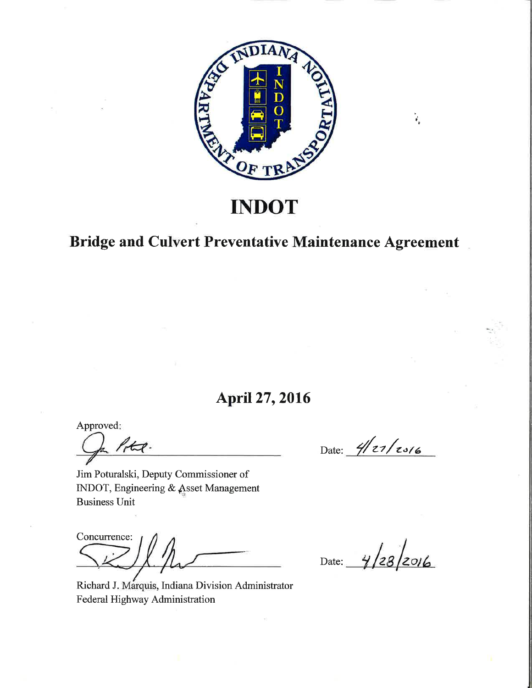

# **INDOT**

# **Bridge and Culvert Preventative Maintenance Agreement**

# **April 27, 2016**

Approved:

 $1-t$ .

Date:  $4/z_7/z_{3/6}$ 

 $\vec{r}_u$ 

Jim Poturalski, Deputy Commissioner of INDOT, Engineering & Asset Management **Business Unit** 

Concurrence:

Richard J. Marquis, Indiana Division Administrator Federal Highway Administration

Date:  $\frac{4}{28}$  2016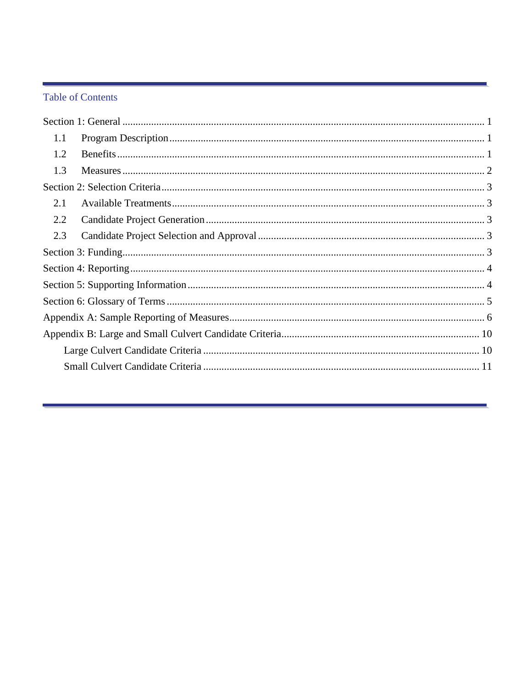#### **Table of Contents**

| 1.1 |  |
|-----|--|
| 1.2 |  |
| 1.3 |  |
|     |  |
| 2.1 |  |
| 2.2 |  |
| 2.3 |  |
|     |  |
|     |  |
|     |  |
|     |  |
|     |  |
|     |  |
|     |  |
|     |  |
|     |  |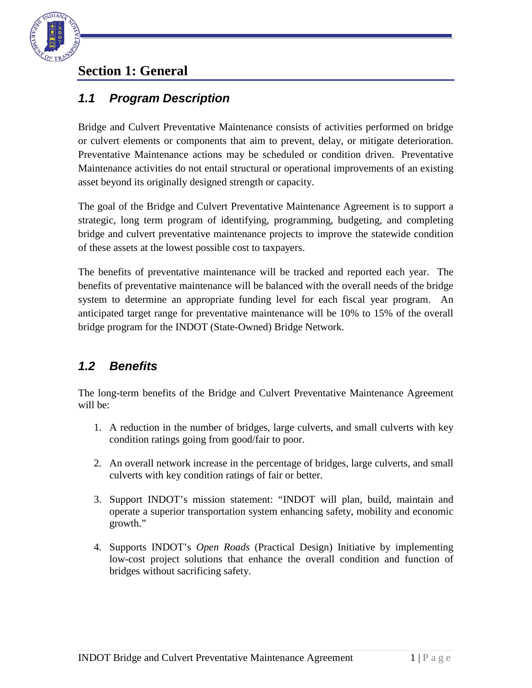

## <span id="page-2-0"></span>**Section 1: General**

#### <span id="page-2-1"></span>*1.1 Program Description*

Bridge and Culvert Preventative Maintenance consists of activities performed on bridge or culvert elements or components that aim to prevent, delay, or mitigate deterioration. Preventative Maintenance actions may be scheduled or condition driven. Preventative Maintenance activities do not entail structural or operational improvements of an existing asset beyond its originally designed strength or capacity.

The goal of the Bridge and Culvert Preventative Maintenance Agreement is to support a strategic, long term program of identifying, programming, budgeting, and completing bridge and culvert preventative maintenance projects to improve the statewide condition of these assets at the lowest possible cost to taxpayers.

The benefits of preventative maintenance will be tracked and reported each year. The benefits of preventative maintenance will be balanced with the overall needs of the bridge system to determine an appropriate funding level for each fiscal year program. An anticipated target range for preventative maintenance will be 10% to 15% of the overall bridge program for the INDOT (State-Owned) Bridge Network.

#### <span id="page-2-2"></span>*1.2 Benefits*

The long-term benefits of the Bridge and Culvert Preventative Maintenance Agreement will be:

- 1. A reduction in the number of bridges, large culverts, and small culverts with key condition ratings going from good/fair to poor.
- 2. An overall network increase in the percentage of bridges, large culverts, and small culverts with key condition ratings of fair or better.
- 3. Support INDOT's mission statement: "INDOT will plan, build, maintain and operate a superior transportation system enhancing safety, mobility and economic growth."
- 4. Supports INDOT's *Open Roads* (Practical Design) Initiative by implementing low-cost project solutions that enhance the overall condition and function of bridges without sacrificing safety.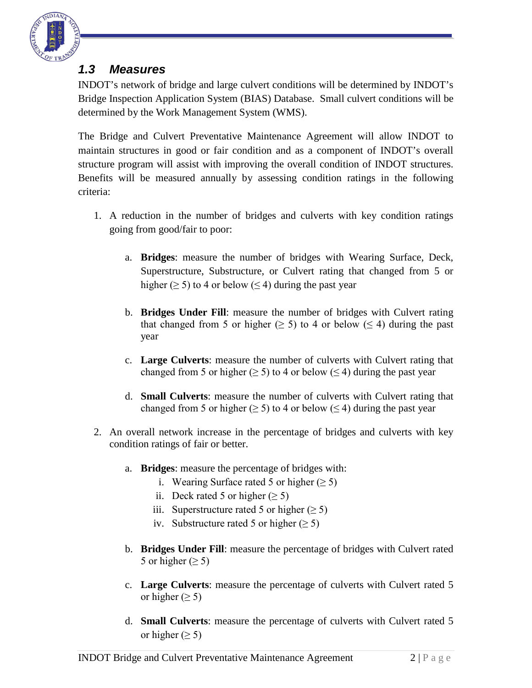

#### <span id="page-3-0"></span>*1.3 Measures*

INDOT's network of bridge and large culvert conditions will be determined by INDOT's Bridge Inspection Application System (BIAS) Database. Small culvert conditions will be determined by the Work Management System (WMS).

The Bridge and Culvert Preventative Maintenance Agreement will allow INDOT to maintain structures in good or fair condition and as a component of INDOT's overall structure program will assist with improving the overall condition of INDOT structures. Benefits will be measured annually by assessing condition ratings in the following criteria:

- 1. A reduction in the number of bridges and culverts with key condition ratings going from good/fair to poor:
	- a. **Bridges**: measure the number of bridges with Wearing Surface, Deck, Superstructure, Substructure, or Culvert rating that changed from 5 or higher ( $\geq$  5) to 4 or below ( $\leq$  4) during the past year
	- b. **Bridges Under Fill**: measure the number of bridges with Culvert rating that changed from 5 or higher ( $\geq$  5) to 4 or below ( $\leq$  4) during the past year
	- c. **Large Culverts**: measure the number of culverts with Culvert rating that changed from 5 or higher ( $\geq$  5) to 4 or below ( $\leq$  4) during the past year
	- d. **Small Culverts**: measure the number of culverts with Culvert rating that changed from 5 or higher ( $\geq$  5) to 4 or below ( $\leq$  4) during the past year
- 2. An overall network increase in the percentage of bridges and culverts with key condition ratings of fair or better.
	- a. **Bridges**: measure the percentage of bridges with:
		- i. Wearing Surface rated 5 or higher  $(\geq 5)$
		- ii. Deck rated 5 or higher  $(\geq 5)$
		- iii. Superstructure rated 5 or higher  $(\geq 5)$
		- iv. Substructure rated 5 or higher  $($  > 5)
	- b. **Bridges Under Fill**: measure the percentage of bridges with Culvert rated 5 or higher ( $\geq$  5)
	- c. **Large Culverts**: measure the percentage of culverts with Culvert rated 5 or higher ( $\geq$  5)
	- d. **Small Culverts**: measure the percentage of culverts with Culvert rated 5 or higher  $(\geq 5)$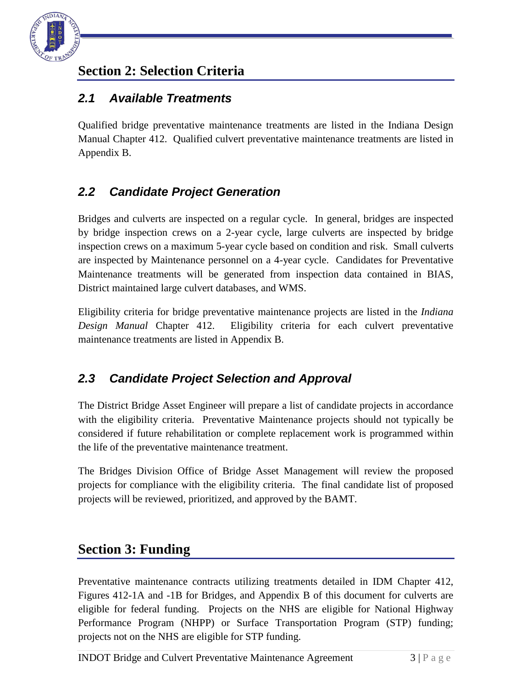

## <span id="page-4-0"></span>**Section 2: Selection Criteria**

### <span id="page-4-1"></span>*2.1 Available Treatments*

Qualified bridge preventative maintenance treatments are listed in the Indiana Design Manual Chapter 412. Qualified culvert preventative maintenance treatments are listed in Appendix B.

## <span id="page-4-2"></span>*2.2 Candidate Project Generation*

Bridges and culverts are inspected on a regular cycle. In general, bridges are inspected by bridge inspection crews on a 2-year cycle, large culverts are inspected by bridge inspection crews on a maximum 5-year cycle based on condition and risk. Small culverts are inspected by Maintenance personnel on a 4-year cycle. Candidates for Preventative Maintenance treatments will be generated from inspection data contained in BIAS, District maintained large culvert databases, and WMS.

Eligibility criteria for bridge preventative maintenance projects are listed in the *Indiana Design Manual* Chapter 412. Eligibility criteria for each culvert preventative maintenance treatments are listed in Appendix B.

## <span id="page-4-3"></span>*2.3 Candidate Project Selection and Approval*

The District Bridge Asset Engineer will prepare a list of candidate projects in accordance with the eligibility criteria. Preventative Maintenance projects should not typically be considered if future rehabilitation or complete replacement work is programmed within the life of the preventative maintenance treatment.

The Bridges Division Office of Bridge Asset Management will review the proposed projects for compliance with the eligibility criteria. The final candidate list of proposed projects will be reviewed, prioritized, and approved by the BAMT.

## <span id="page-4-4"></span>**Section 3: Funding**

Preventative maintenance contracts utilizing treatments detailed in IDM Chapter 412, Figures 412-1A and -1B for Bridges, and Appendix B of this document for culverts are eligible for federal funding. Projects on the NHS are eligible for National Highway Performance Program (NHPP) or Surface Transportation Program (STP) funding; projects not on the NHS are eligible for STP funding.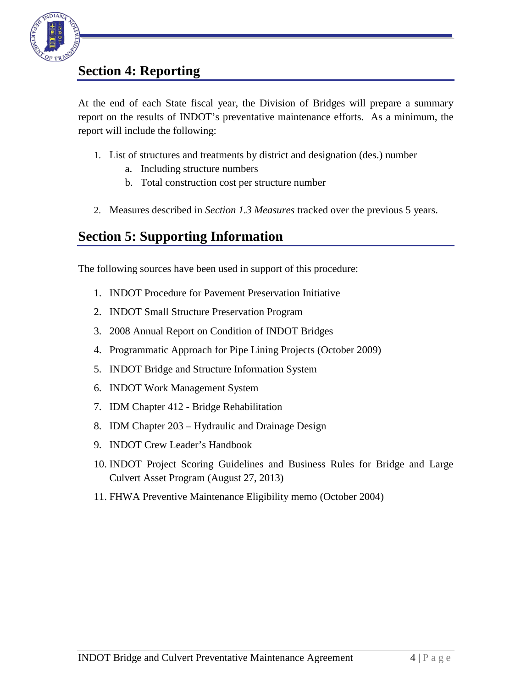

## <span id="page-5-0"></span>**Section 4: Reporting**

At the end of each State fiscal year, the Division of Bridges will prepare a summary report on the results of INDOT's preventative maintenance efforts. As a minimum, the report will include the following:

- 1. List of structures and treatments by district and designation (des.) number
	- a. Including structure numbers
	- b. Total construction cost per structure number
- 2. Measures described in *Section [1.3](#page-3-0) [Measures](#page-3-0)* tracked over the previous 5 years.

## <span id="page-5-1"></span>**Section 5: Supporting Information**

The following sources have been used in support of this procedure:

- 1. INDOT Procedure for Pavement Preservation Initiative
- 2. INDOT Small Structure Preservation Program
- 3. 2008 Annual Report on Condition of INDOT Bridges
- 4. Programmatic Approach for Pipe Lining Projects (October 2009)
- 5. INDOT Bridge and Structure Information System
- 6. INDOT Work Management System
- 7. IDM Chapter 412 Bridge Rehabilitation
- 8. IDM Chapter 203 Hydraulic and Drainage Design
- 9. INDOT Crew Leader's Handbook
- 10. INDOT Project Scoring Guidelines and Business Rules for Bridge and Large Culvert Asset Program (August 27, 2013)
- 11. FHWA Preventive Maintenance Eligibility memo (October 2004)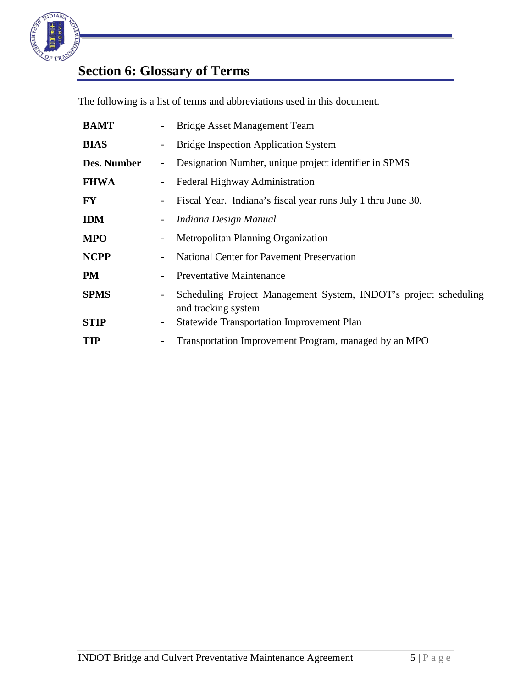

# <span id="page-6-0"></span>**Section 6: Glossary of Terms**

The following is a list of terms and abbreviations used in this document.

| <b>BAMT</b> | Bridge Asset Management Team                                                            |
|-------------|-----------------------------------------------------------------------------------------|
| <b>BIAS</b> | <b>Bridge Inspection Application System</b>                                             |
| Des. Number | Designation Number, unique project identifier in SPMS                                   |
| <b>FHWA</b> | Federal Highway Administration                                                          |
| <b>FY</b>   | Fiscal Year. Indiana's fiscal year runs July 1 thru June 30.                            |
| <b>IDM</b>  | Indiana Design Manual                                                                   |
| <b>MPO</b>  | Metropolitan Planning Organization                                                      |
| <b>NCPP</b> | <b>National Center for Pavement Preservation</b>                                        |
| <b>PM</b>   | Preventative Maintenance                                                                |
| <b>SPMS</b> | Scheduling Project Management System, INDOT's project scheduling<br>and tracking system |
| <b>STIP</b> | <b>Statewide Transportation Improvement Plan</b>                                        |
| <b>TIP</b>  | Transportation Improvement Program, managed by an MPO                                   |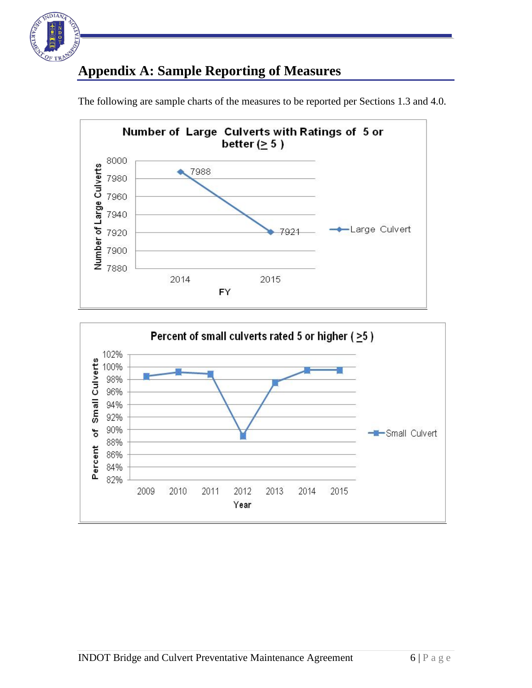

# <span id="page-7-0"></span>**Appendix A: Sample Reporting of Measures**



The following are sample charts of the measures to be reported per Sections 1.3 and 4.0.

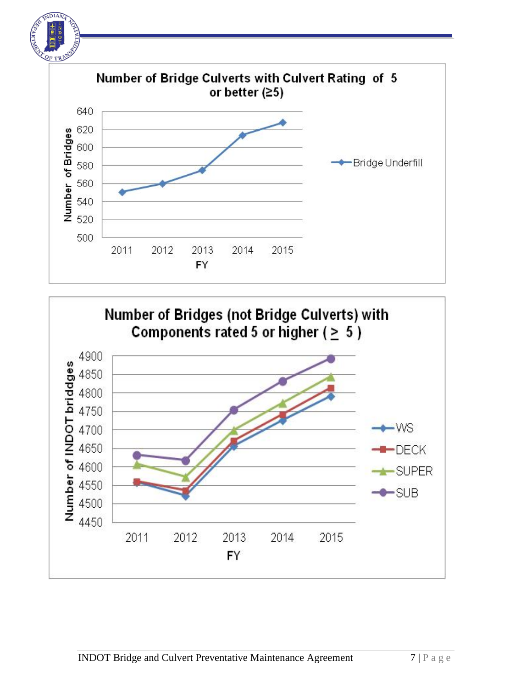

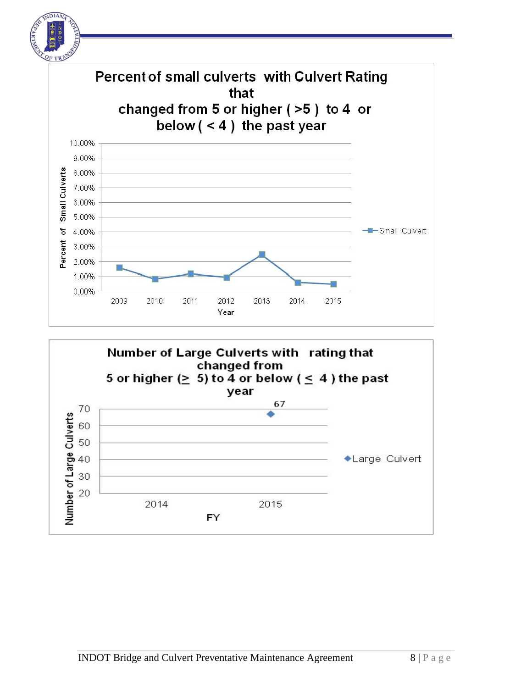

 $DIA$ 

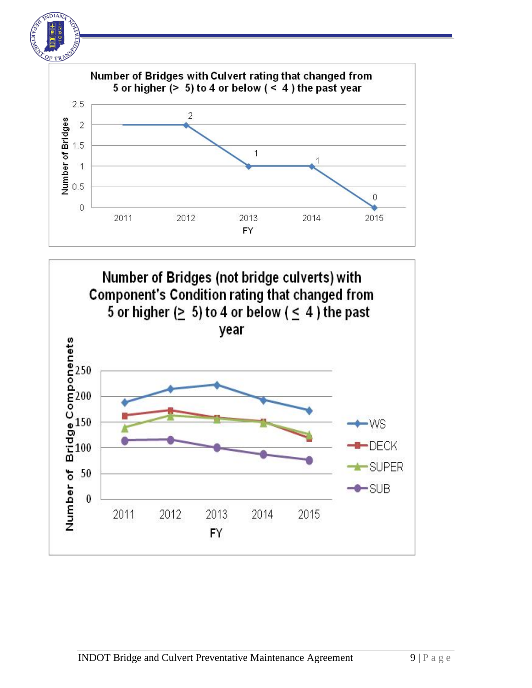

DIA

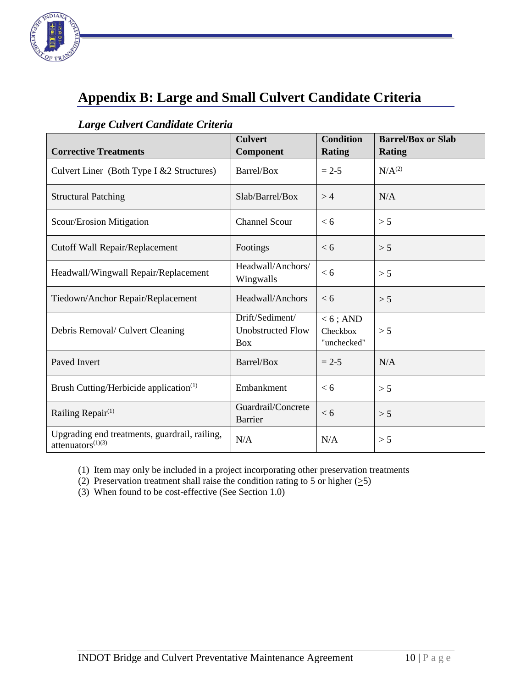![](_page_11_Picture_0.jpeg)

# <span id="page-11-0"></span>**Appendix B: Large and Small Culvert Candidate Criteria**

#### <span id="page-11-1"></span>*Large Culvert Candidate Criteria*

| <b>Corrective Treatments</b>                                          | <b>Culvert</b><br>Component                               | <b>Condition</b><br><b>Rating</b>      | <b>Barrel/Box or Slab</b><br><b>Rating</b> |
|-----------------------------------------------------------------------|-----------------------------------------------------------|----------------------------------------|--------------------------------------------|
| Culvert Liner (Both Type I & 2 Structures)                            | Barrel/Box                                                | $= 2 - 5$                              | N/A <sup>(2)</sup>                         |
| <b>Structural Patching</b>                                            | Slab/Barrel/Box                                           | >4                                     | N/A                                        |
| Scour/Erosion Mitigation                                              | <b>Channel Scour</b>                                      | < 6                                    | > 5                                        |
| Cutoff Wall Repair/Replacement                                        | Footings                                                  | < 6                                    | > 5                                        |
| Headwall/Wingwall Repair/Replacement                                  | Headwall/Anchors/<br>Wingwalls                            | < 6                                    | > 5                                        |
| Tiedown/Anchor Repair/Replacement                                     | Headwall/Anchors                                          | < 6                                    | > 5                                        |
| Debris Removal/ Culvert Cleaning                                      | Drift/Sediment/<br><b>Unobstructed Flow</b><br><b>Box</b> | $< 6$ ; AND<br>Checkbox<br>"unchecked" | > 5                                        |
| Paved Invert                                                          | Barrel/Box                                                | $= 2 - 5$                              | N/A                                        |
| Brush Cutting/Herbicide application <sup>(1)</sup>                    | Embankment                                                | < 6                                    | > 5                                        |
| Railing Repair <sup>(1)</sup>                                         | Guardrail/Concrete<br>Barrier                             | < 6                                    | > 5                                        |
| Upgrading end treatments, guardrail, railing,<br>attenuators $(1)(3)$ | N/A                                                       | N/A                                    | > 5                                        |

(1) Item may only be included in a project incorporating other preservation treatments

- (2) Preservation treatment shall raise the condition rating to 5 or higher  $(5)$
- (3) When found to be cost-effective (See Section 1.0)